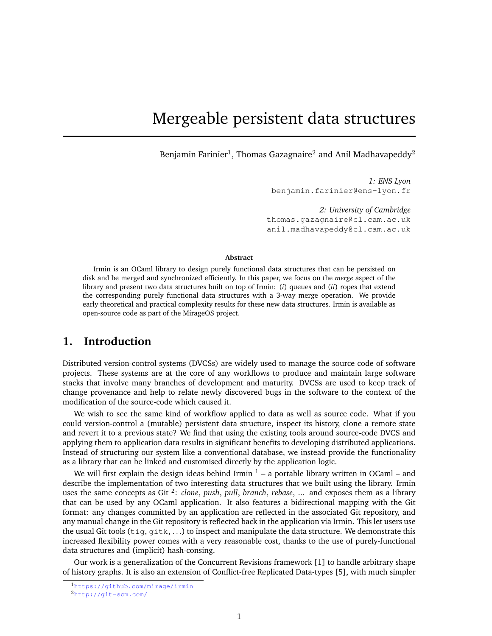# Mergeable persistent data structures

Benjamin Farinier $^1$ , Thomas Gazagnaire $^2$  and Anil Madhavapeddy $^2$ 

*1: ENS Lyon* benjamin.farinier@ens-lyon.fr

*2: University of Cambridge* thomas.gazagnaire@cl.cam.ac.uk anil.madhavapeddy@cl.cam.ac.uk

#### **Abstract**

Irmin is an OCaml library to design purely functional data structures that can be persisted on disk and be merged and synchronized efficiently. In this paper, we focus on the *merge* aspect of the library and present two data structures built on top of Irmin: (*i*) queues and (*ii*) ropes that extend the corresponding purely functional data structures with a 3-way merge operation. We provide early theoretical and practical complexity results for these new data structures. Irmin is available as open-source code as part of the MirageOS project.

### **1. Introduction**

Distributed version-control systems (DVCSs) are widely used to manage the source code of software projects. These systems are at the core of any workflows to produce and maintain large software stacks that involve many branches of development and maturity. DVCSs are used to keep track of change provenance and help to relate newly discovered bugs in the software to the context of the modification of the source-code which caused it.

We wish to see the same kind of workflow applied to data as well as source code. What if you could version-control a (mutable) persistent data structure, inspect its history, clone a remote state and revert it to a previous state? We find that using the existing tools around source-code DVCS and applying them to application data results in significant benefits to developing distributed applications. Instead of structuring our system like a conventional database, we instead provide the functionality as a library that can be linked and customised directly by the application logic.

We will first explain the design ideas behind Irmin  $1 - a$  $1 - a$  portable library written in OCaml – and describe the implementation of two interesting data structures that we built using the library. Irmin uses the same concepts as Git<sup>[2](#page-0-1)</sup>: *clone*, *push*, *pull*, *branch*, *rebase*, ... and exposes them as a library that can be used by any OCaml application. It also features a bidirectional mapping with the Git format: any changes committed by an application are reflected in the associated Git repository, and any manual change in the Git repository is reflected back in the application via Irmin. This let users use the usual Git tools ( $\text{tig}, \text{gilt}, \ldots$ ) to inspect and manipulate the data structure. We demonstrate this increased flexibility power comes with a very reasonable cost, thanks to the use of purely-functional data structures and (implicit) hash-consing.

Our work is a generalization of the Concurrent Revisions framework [\[1\]](#page-12-0) to handle arbitrary shape of history graphs. It is also an extension of Conflict-free Replicated Data-types [\[5\]](#page-12-1), with much simpler

<span id="page-0-0"></span><sup>1</sup><https://github.com/mirage/irmin>

<span id="page-0-1"></span><sup>2</sup><http://git-scm.com/>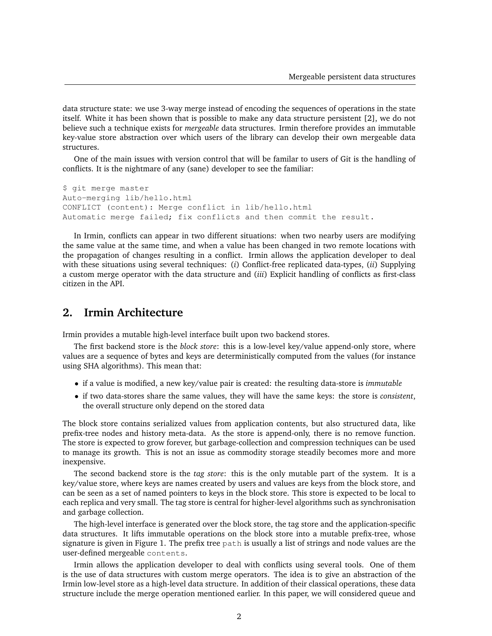data structure state: we use 3-way merge instead of encoding the sequences of operations in the state itself. White it has been shown that is possible to make any data structure persistent [\[2\]](#page-12-2), we do not believe such a technique exists for *mergeable* data structures. Irmin therefore provides an immutable key-value store abstraction over which users of the library can develop their own mergeable data structures.

One of the main issues with version control that will be familar to users of Git is the handling of conflicts. It is the nightmare of any (sane) developer to see the familiar:

\$ git merge master Auto-merging lib/hello.html CONFLICT (content): Merge conflict in lib/hello.html Automatic merge failed; fix conflicts and then commit the result.

In Irmin, conflicts can appear in two different situations: when two nearby users are modifying the same value at the same time, and when a value has been changed in two remote locations with the propagation of changes resulting in a conflict. Irmin allows the application developer to deal with these situations using several techniques: (*i*) Conflict-free replicated data-types, (*ii*) Supplying a custom merge operator with the data structure and (*iii*) Explicit handling of conflicts as first-class citizen in the API.

### **2. Irmin Architecture**

Irmin provides a mutable high-level interface built upon two backend stores.

The first backend store is the *block store*: this is a low-level key/value append-only store, where values are a sequence of bytes and keys are deterministically computed from the values (for instance using SHA algorithms). This mean that:

- if a value is modified, a new key/value pair is created: the resulting data-store is *immutable*
- if two data-stores share the same values, they will have the same keys: the store is *consistent*, the overall structure only depend on the stored data

The block store contains serialized values from application contents, but also structured data, like prefix-tree nodes and history meta-data. As the store is append-only, there is no remove function. The store is expected to grow forever, but garbage-collection and compression techniques can be used to manage its growth. This is not an issue as commodity storage steadily becomes more and more inexpensive.

The second backend store is the *tag store*: this is the only mutable part of the system. It is a key/value store, where keys are names created by users and values are keys from the block store, and can be seen as a set of named pointers to keys in the block store. This store is expected to be local to each replica and very small. The tag store is central for higher-level algorithms such as synchronisation and garbage collection.

The high-level interface is generated over the block store, the tag store and the application-specific data structures. It lifts immutable operations on the block store into a mutable prefix-tree, whose signature is given in Figure [1.](#page-2-0) The prefix tree path is usually a list of strings and node values are the user-defined mergeable contents.

Irmin allows the application developer to deal with conflicts using several tools. One of them is the use of data structures with custom merge operators. The idea is to give an abstraction of the Irmin low-level store as a high-level data structure. In addition of their classical operations, these data structure include the merge operation mentioned earlier. In this paper, we will considered queue and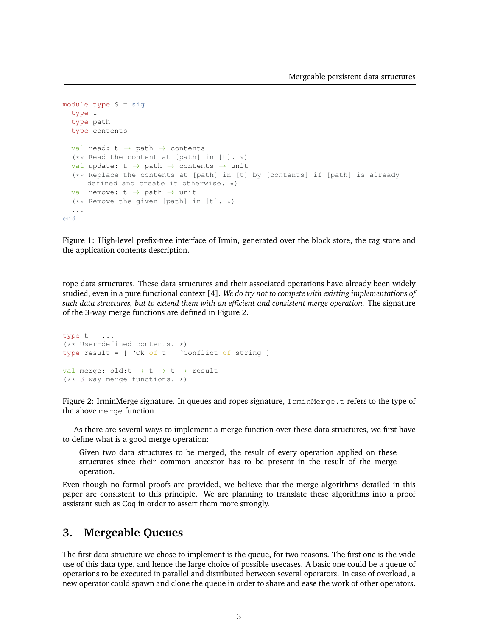```
module type S = sig
  type t
  type path
  type contents
  val read: t \rightarrow path \rightarrow contents
  (** Read the content at [path] in [t]. *)
  val update: t \rightarrow path \rightarrow contents \rightarrow unit
  (** Replace the contents at [path] in [t] by [contents] if [path] is already
      defined and create it otherwise. *)
  val remove: t \rightarrow path \rightarrow unit
  (** Remove the given [path] in [t]. *)
  ...
end
```
<span id="page-2-0"></span>Figure 1: High-level prefix-tree interface of Irmin, generated over the block store, the tag store and the application contents description.

rope data structures. These data structures and their associated operations have already been widely studied, even in a pure functional context [\[4\]](#page-12-3). *We do try not to compete with existing implementations of such data structures, but to extend them with an efficient and consistent merge operation.* The signature of the 3-way merge functions are defined in Figure [2.](#page-2-1)

```
type t = ...(** User-defined contents. *)
type result = [ 'Ok of t | 'Conflict of string ]
val merge: old:t \rightarrow t \rightarrow t \rightarrow result
(** 3-way merge functions. *)
```
<span id="page-2-1"></span>Figure 2: IrminMerge signature. In queues and ropes signature, IrminMerge.t refers to the type of the above merge function.

As there are several ways to implement a merge function over these data structures, we first have to define what is a good merge operation:

Given two data structures to be merged, the result of every operation applied on these structures since their common ancestor has to be present in the result of the merge operation.

Even though no formal proofs are provided, we believe that the merge algorithms detailed in this paper are consistent to this principle. We are planning to translate these algorithms into a proof assistant such as Coq in order to assert them more strongly.

### **3. Mergeable Queues**

The first data structure we chose to implement is the queue, for two reasons. The first one is the wide use of this data type, and hence the large choice of possible usecases. A basic one could be a queue of operations to be executed in parallel and distributed between several operators. In case of overload, a new operator could spawn and clone the queue in order to share and ease the work of other operators.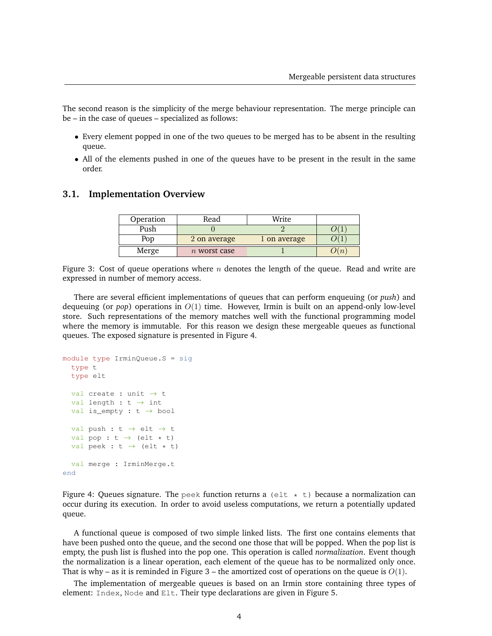The second reason is the simplicity of the merge behaviour representation. The merge principle can be – in the case of queues – specialized as follows:

- Every element popped in one of the two queues to be merged has to be absent in the resulting queue.
- All of the elements pushed in one of the queues have to be present in the result in the same order.

#### **3.1. Implementation Overview**

| Operation | Read           | Write        |  |
|-----------|----------------|--------------|--|
| Push      |                |              |  |
| Por       | 2 on average   | 1 on average |  |
| Merge     | $n$ worst case |              |  |

<span id="page-3-1"></span>Figure 3: Cost of queue operations where  $n$  denotes the length of the queue. Read and write are expressed in number of memory access.

There are several efficient implementations of queues that can perform enqueuing (or *push*) and dequeuing (or *pop*) operations in  $O(1)$  time. However, Irmin is built on an append-only low-level store. Such representations of the memory matches well with the functional programming model where the memory is immutable. For this reason we design these mergeable queues as functional queues. The exposed signature is presented in Figure [4.](#page-3-0)

```
module type IrminQueue.S = sig
  type t
  type elt
  val create : unit \rightarrow t
  val length : t \rightarrow intval is_empty : t \rightarrow bool
  val push : t \rightarrow elt \rightarrow tval pop : t \rightarrow (elt * t)
  val peek : t \rightarrow (elt \star t)
  val merge : IrminMerge.t
end
```
<span id="page-3-0"></span>Figure 4: Queues signature. The peek function returns a (elt  $\star$  t) because a normalization can occur during its execution. In order to avoid useless computations, we return a potentially updated queue.

A functional queue is composed of two simple linked lists. The first one contains elements that have been pushed onto the queue, and the second one those that will be popped. When the pop list is empty, the push list is flushed into the pop one. This operation is called *normalization*. Event though the normalization is a linear operation, each element of the queue has to be normalized only once. That is why – as it is reminded in Figure [3](#page-3-1) – the amortized cost of operations on the queue is  $O(1)$ .

The implementation of mergeable queues is based on an Irmin store containing three types of element: Index, Node and Elt. Their type declarations are given in Figure [5.](#page-4-0)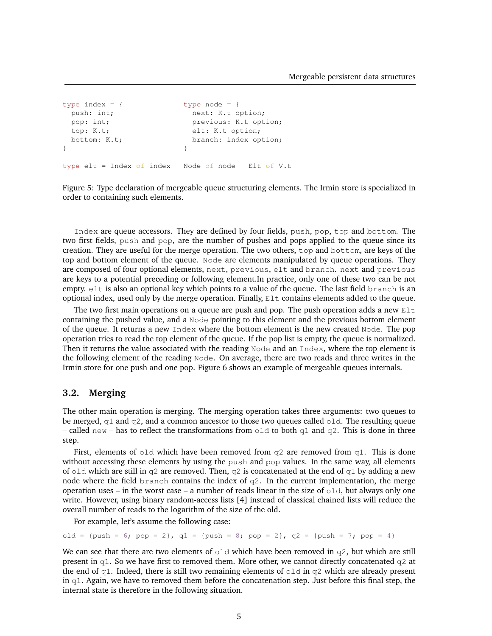```
type index = { \times type node = {
 push: int; next: K.t option;
 pop: int; previous: K.t option;
 top: K.t; elt: K.t option;
 bottom: K.t; branch: index option;
} }
type elt = Index of index | Node of node | Elt of V.t
```
<span id="page-4-0"></span>Figure 5: Type declaration of mergeable queue structuring elements. The Irmin store is specialized in order to containing such elements.

Index are queue accessors. They are defined by four fields, push, pop, top and bottom. The two first fields, push and pop, are the number of pushes and pops applied to the queue since its creation. They are useful for the merge operation. The two others, top and bottom, are keys of the top and bottom element of the queue. Node are elements manipulated by queue operations. They are composed of four optional elements, next, previous, elt and branch. next and previous are keys to a potential preceding or following element.In practice, only one of these two can be not empty. elt is also an optional key which points to a value of the queue. The last field branch is an optional index, used only by the merge operation. Finally, Elt contains elements added to the queue.

The two first main operations on a queue are push and pop. The push operation adds a new Elt containing the pushed value, and a Node pointing to this element and the previous bottom element of the queue. It returns a new Index where the bottom element is the new created Node. The pop operation tries to read the top element of the queue. If the pop list is empty, the queue is normalized. Then it returns the value associated with the reading Node and an Index, where the top element is the following element of the reading Node. On average, there are two reads and three writes in the Irmin store for one push and one pop. Figure [6](#page-5-0) shows an example of mergeable queues internals.

### **3.2. Merging**

The other main operation is merging. The merging operation takes three arguments: two queues to be merged,  $q1$  and  $q2$ , and a common ancestor to those two queues called old. The resulting queue – called new – has to reflect the transformations from  $\text{old}$  to both  $\text{q1}$  and  $\text{q2}$ . This is done in three step.

First, elements of old which have been removed from q2 are removed from q1. This is done without accessing these elements by using the push and pop values. In the same way, all elements of old which are still in  $q2$  are removed. Then,  $q2$  is concatenated at the end of  $q1$  by adding a new node where the field branch contains the index of  $q2$ . In the current implementation, the merge operation uses – in the worst case – a number of reads linear in the size of  $\circ$ 1d, but always only one write. However, using binary random-access lists [\[4\]](#page-12-3) instead of classical chained lists will reduce the overall number of reads to the logarithm of the size of the old.

For example, let's assume the following case:

old = {push =  $6$ ; pop =  $2$ },  $q1$  = {push =  $8$ ; pop =  $2$ },  $q2$  = {push =  $7$ ; pop =  $4$ }

We can see that there are two elements of  $\text{old}$  which have been removed in  $q2$ , but which are still present in  $q1$ . So we have first to removed them. More other, we cannot directly concatenated  $q2$  at the end of  $q1$ . Indeed, there is still two remaining elements of  $q1d$  in  $q2$  which are already present in  $q1$ . Again, we have to removed them before the concatenation step. Just before this final step, the internal state is therefore in the following situation.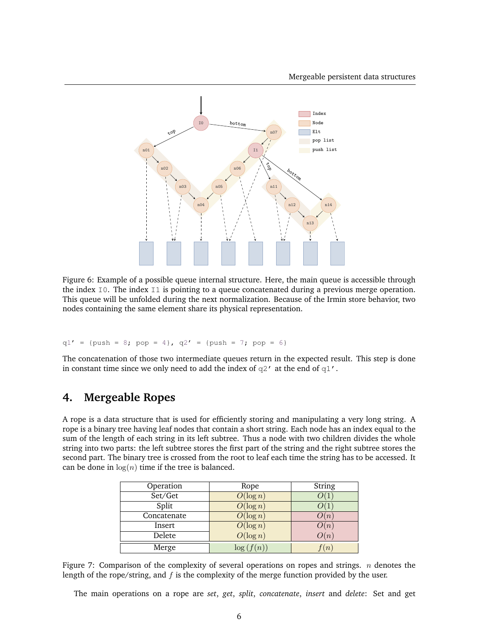

<span id="page-5-0"></span>Figure 6: Example of a possible queue internal structure. Here, the main queue is accessible through the index  $\text{I0}$ . The index  $\text{I1}$  is pointing to a queue concatenated during a previous merge operation. This queue will be unfolded during the next normalization. Because of the Irmin store behavior, two nodes containing the same element share its physical representation.

 $q1' = {push = 8; pop = 4}, q2' = {push = 7; pop = 6}$ 

The concatenation of those two intermediate queues return in the expected result. This step is done in constant time since we only need to add the index of  $q2'$  at the end of  $q1'$ .

## **4. Mergeable Ropes**

A rope is a data structure that is used for efficiently storing and manipulating a very long string. A rope is a binary tree having leaf nodes that contain a short string. Each node has an index equal to the sum of the length of each string in its left subtree. Thus a node with two children divides the whole string into two parts: the left subtree stores the first part of the string and the right subtree stores the second part. The binary tree is crossed from the root to leaf each time the string has to be accessed. It can be done in  $log(n)$  time if the tree is balanced.

| Operation   | Rope        | String           |
|-------------|-------------|------------------|
| Set/Get     | $O(\log n)$ |                  |
| Split       | $O(\log n)$ |                  |
| Concatenate | $O(\log n)$ | $\lambda(n)$     |
| Insert      | $O(\log n)$ | $\boldsymbol{n}$ |
| Delete      | $O(\log n)$ | $\boldsymbol{n}$ |
| Merge       | log(        | $\binom{n}{2}$   |

<span id="page-5-1"></span>Figure 7: Comparison of the complexity of several operations on ropes and strings.  $n$  denotes the length of the rope/string, and  $f$  is the complexity of the merge function provided by the user.

The main operations on a rope are *set*, *get*, *split*, *concatenate*, *insert* and *delete*: Set and get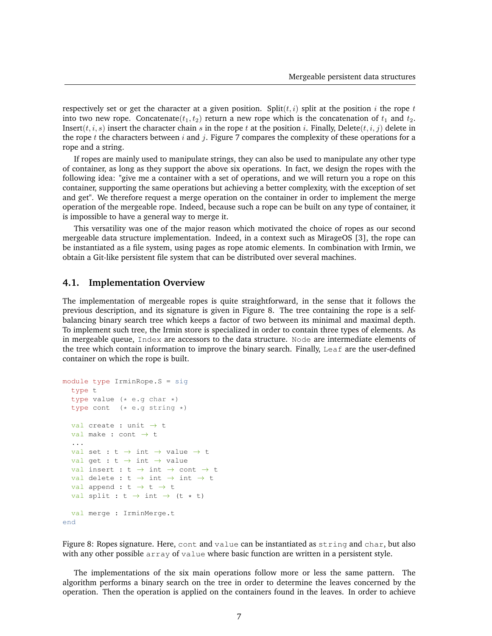respectively set or get the character at a given position. Split( $t, i$ ) split at the position i the rope t into two new rope. Concatenate( $t_1, t_2$ ) return a new rope which is the concatenation of  $t_1$  and  $t_2$ . Insert( $t, i, s$ ) insert the character chain s in the rope  $t$  at the position  $i$ . Finally, Delete( $t, i, j$ ) delete in the rope t the characters between i and j. Figure [7](#page-5-1) compares the complexity of these operations for a rope and a string.

If ropes are mainly used to manipulate strings, they can also be used to manipulate any other type of container, as long as they support the above six operations. In fact, we design the ropes with the following idea: "give me a container with a set of operations, and we will return you a rope on this container, supporting the same operations but achieving a better complexity, with the exception of set and get". We therefore request a merge operation on the container in order to implement the merge operation of the mergeable rope. Indeed, because such a rope can be built on any type of container, it is impossible to have a general way to merge it.

This versatility was one of the major reason which motivated the choice of ropes as our second mergeable data structure implementation. Indeed, in a context such as MirageOS [\[3\]](#page-12-4), the rope can be instantiated as a file system, using pages as rope atomic elements. In combination with Irmin, we obtain a Git-like persistent file system that can be distributed over several machines.

### **4.1. Implementation Overview**

The implementation of mergeable ropes is quite straightforward, in the sense that it follows the previous description, and its signature is given in Figure [8.](#page-6-0) The tree containing the rope is a selfbalancing binary search tree which keeps a factor of two between its minimal and maximal depth. To implement such tree, the Irmin store is specialized in order to contain three types of elements. As in mergeable queue, Index are accessors to the data structure. Node are intermediate elements of the tree which contain information to improve the binary search. Finally, Leaf are the user-defined container on which the rope is built.

```
module type IrminRope.S = sig
  type t
  type value (* e.q char *)type cont (* e.g string *)
  val create : unit \rightarrow t
  val make : cont \rightarrow t
  ...
  val set : t \rightarrow int \rightarrow value \rightarrow tval get : t \rightarrow int \rightarrow valueval insert : t \rightarrow int \rightarrow cont \rightarrow tval delete : t \rightarrow int \rightarrow int \rightarrow tval append : t \rightarrow t \rightarrow tval split : t \rightarrow int \rightarrow (t * t)val merge : IrminMerge.t
end
```
<span id="page-6-0"></span>Figure 8: Ropes signature. Here, cont and value can be instantiated as string and char, but also with any other possible array of value where basic function are written in a persistent style.

The implementations of the six main operations follow more or less the same pattern. The algorithm performs a binary search on the tree in order to determine the leaves concerned by the operation. Then the operation is applied on the containers found in the leaves. In order to achieve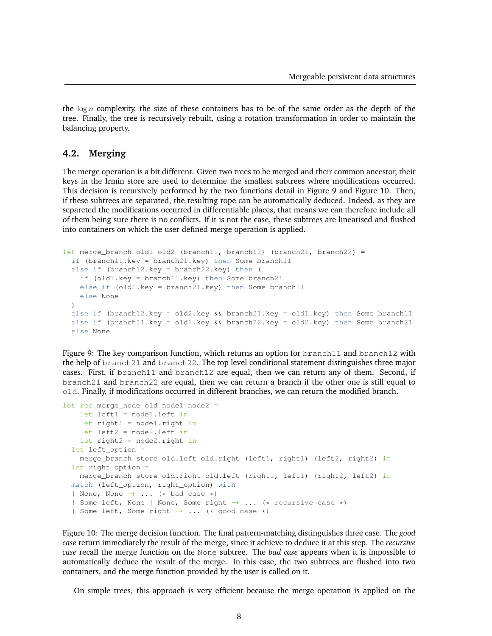the  $\log n$  complexity, the size of these containers has to be of the same order as the depth of the tree. Finally, the tree is recursively rebuilt, using a rotation transformation in order to maintain the balancing property.

#### **4.2. Merging**

The merge operation is a bit different. Given two trees to be merged and their common ancestor, their keys in the Irmin store are used to determine the smallest subtrees where modifications occurred. This decision is recursively performed by the two functions detail in Figure [9](#page-7-0) and Figure [10.](#page-7-1) Then, if these subtrees are separated, the resulting rope can be automatically deduced. Indeed, as they are separeted the modifications occurred in differentiable places, that means we can therefore include all of them being sure there is no conflicts. If it is not the case, these subtrees are linearised and flushed into containers on which the user-defined merge operation is applied.

```
let merge_branch old1 old2 (branch11, branch12) (branch21, branch22) =
 if (branch11.key = branch21.key) then Some branch11
 else if (branch12.key = branch22.key) then (
   if (old1.key = branch11.key) then Some branch21
   else if (old1.key = branch21.key) then Some branch11
   else None
  )
 else if (branch12.key = old2.key && branch21.key = old1.key) then Some branch11
 else if (branch11.key = old1.key && branch22.key = old2.key) then Some branch21
 else None
```
<span id="page-7-0"></span>Figure 9: The key comparison function, which returns an option for branch11 and branch12 with the help of branch21 and branch22. The top level conditional statement distinguishes three major cases. First, if branch11 and branch12 are equal, then we can return any of them. Second, if branch21 and branch22 are equal, then we can return a branch if the other one is still equal to old. Finally, if modifications occurred in different branches, we can return the modified branch.

```
let rec merge_node old node1 node2 =
    let left1 = node1.left in
    let right1 = node1.right in
    let left2 = node2.left in
    let right2 = node2.right in
  let left_option =
    merge_branch store old.left old.right (left1, right1) (left2, right2) in
  let right_option =
    merge_branch store old.right old.left (right1, left1) (right2, left2) in
  match (left_option, right_option) with
  | None, None \rightarrow \ldots (* bad case *)
  | Some left, None | None, Some right \rightarrow \ldots (* recursive case *)
  | Some left, Some right \rightarrow ... (* good case *)
```
<span id="page-7-1"></span>Figure 10: The merge decision function. The final pattern-matching distinguishes three case. The *good case* return immediately the result of the merge, since it achieve to deduce it at this step. The *recursive case* recall the merge function on the None subtree. The *bad case* appears when it is impossible to automatically deduce the result of the merge. In this case, the two subtrees are flushed into two containers, and the merge function provided by the user is called on it.

On simple trees, this approach is very efficient because the merge operation is applied on the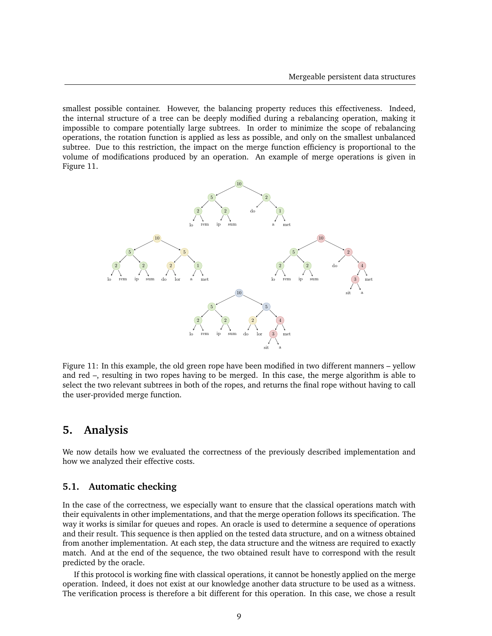smallest possible container. However, the balancing property reduces this effectiveness. Indeed, the internal structure of a tree can be deeply modified during a rebalancing operation, making it impossible to compare potentially large subtrees. In order to minimize the scope of rebalancing operations, the rotation function is applied as less as possible, and only on the smallest unbalanced subtree. Due to this restriction, the impact on the merge function efficiency is proportional to the volume of modifications produced by an operation. An example of merge operations is given in Figure [11.](#page-8-0)



<span id="page-8-0"></span>Figure 11: In this example, the old green rope have been modified in two different manners – yellow and red –, resulting in two ropes having to be merged. In this case, the merge algorithm is able to select the two relevant subtrees in both of the ropes, and returns the final rope without having to call the user-provided merge function.

### **5. Analysis**

We now details how we evaluated the correctness of the previously described implementation and how we analyzed their effective costs.

#### **5.1. Automatic checking**

In the case of the correctness, we especially want to ensure that the classical operations match with their equivalents in other implementations, and that the merge operation follows its specification. The way it works is similar for queues and ropes. An oracle is used to determine a sequence of operations and their result. This sequence is then applied on the tested data structure, and on a witness obtained from another implementation. At each step, the data structure and the witness are required to exactly match. And at the end of the sequence, the two obtained result have to correspond with the result predicted by the oracle.

If this protocol is working fine with classical operations, it cannot be honestly applied on the merge operation. Indeed, it does not exist at our knowledge another data structure to be used as a witness. The verification process is therefore a bit different for this operation. In this case, we chose a result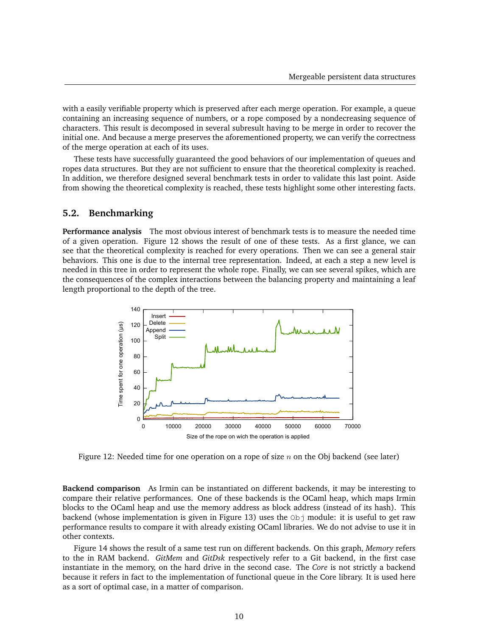with a easily verifiable property which is preserved after each merge operation. For example, a queue containing an increasing sequence of numbers, or a rope composed by a nondecreasing sequence of characters. This result is decomposed in several subresult having to be merge in order to recover the initial one. And because a merge preserves the aforementioned property, we can verify the correctness of the merge operation at each of its uses.

These tests have successfully guaranteed the good behaviors of our implementation of queues and ropes data structures. But they are not sufficient to ensure that the theoretical complexity is reached. In addition, we therefore designed several benchmark tests in order to validate this last point. Aside from showing the theoretical complexity is reached, these tests highlight some other interesting facts.

### **5.2. Benchmarking**

**Performance analysis** The most obvious interest of benchmark tests is to measure the needed time of a given operation. Figure [12](#page-9-0) shows the result of one of these tests. As a first glance, we can see that the theoretical complexity is reached for every operations. Then we can see a general stair behaviors. This one is due to the internal tree representation. Indeed, at each a step a new level is needed in this tree in order to represent the whole rope. Finally, we can see several spikes, which are the consequences of the complex interactions between the balancing property and maintaining a leaf length proportional to the depth of the tree.



<span id="page-9-0"></span>Figure 12: Needed time for one operation on a rope of size n on the Obj backend (see later)

**Backend comparison** As Irmin can be instantiated on different backends, it may be interesting to compare their relative performances. One of these backends is the OCaml heap, which maps Irmin blocks to the OCaml heap and use the memory address as block address (instead of its hash). This backend (whose implementation is given in Figure [13\)](#page-10-0) uses the  $Ob<sub>j</sub>$  module: it is useful to get raw performance results to compare it with already existing OCaml libraries. We do not advise to use it in other contexts.

Figure [14](#page-10-1) shows the result of a same test run on different backends. On this graph, *Memory* refers to the in RAM backend. *GitMem* and *GitDsk* respectively refer to a Git backend, in the first case instantiate in the memory, on the hard drive in the second case. The *Core* is not strictly a backend because it refers in fact to the implementation of functional queue in the Core library. It is used here as a sort of optimal case, in a matter of comparison.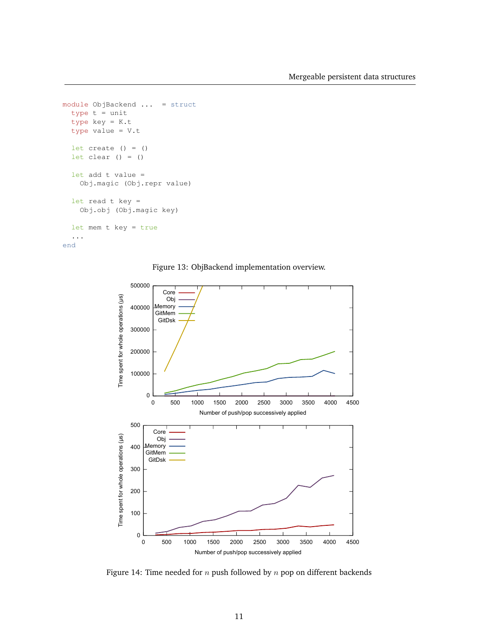```
module ObjBackend ... = struct
  type t = unittype key = K.t
  type value = V.t
  let create () = ()let clear () = ()let add t value =
   Obj.magic (Obj.repr value)
  let read t key =
   Obj.obj (Obj.magic key)
  let mem t key = true
  ...
```
end

<span id="page-10-0"></span>Figure 13: ObjBackend implementation overview.



<span id="page-10-1"></span>Figure 14: Time needed for  $n$  push followed by  $n$  pop on different backends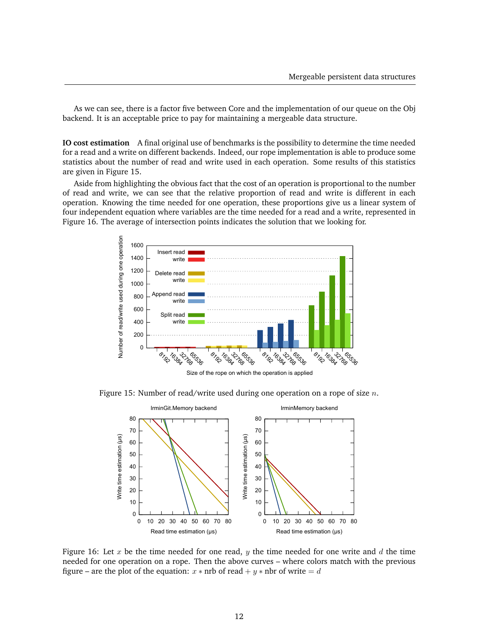As we can see, there is a factor five between Core and the implementation of our queue on the Obj backend. It is an acceptable price to pay for maintaining a mergeable data structure.

**IO cost estimation** A final original use of benchmarks is the possibility to determine the time needed for a read and a write on different backends. Indeed, our rope implementation is able to produce some statistics about the number of read and write used in each operation. Some results of this statistics are given in Figure [15.](#page-11-0)

Aside from highlighting the obvious fact that the cost of an operation is proportional to the number of read and write, we can see that the relative proportion of read and write is different in each operation. Knowing the time needed for one operation, these proportions give us a linear system of four independent equation where variables are the time needed for a read and a write, represented in Figure [16.](#page-11-1) The average of intersection points indicates the solution that we looking for.



Figure 15: Number of read/write used during one operation on a rope of size  $n$ .

<span id="page-11-0"></span>

<span id="page-11-1"></span>Figure 16: Let  $x$  be the time needed for one read,  $y$  the time needed for one write and  $d$  the time needed for one operation on a rope. Then the above curves – where colors match with the previous figure – are the plot of the equation:  $x * nrb$  of read  $+y * nbr$  of write  $= d$